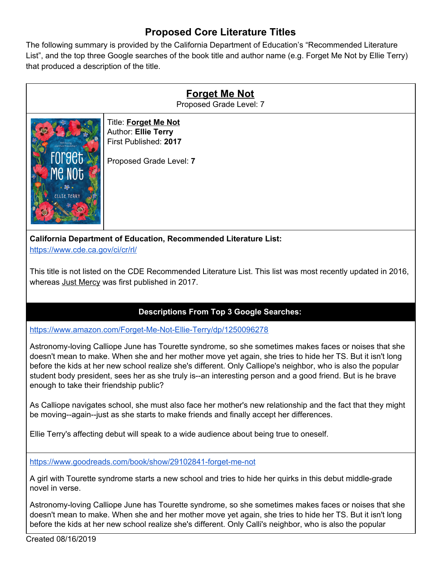## **Proposed Core Literature Titles**

The following summary is provided by the California Department of Education's "Recommended Literature List", and the top three Google searches of the book title and author name (e.g. Forget Me Not by Ellie Terry) that produced a description of the title.

| <b>Forget Me Not</b><br>Proposed Grade Level: 7                                                             |                                                                                                        |
|-------------------------------------------------------------------------------------------------------------|--------------------------------------------------------------------------------------------------------|
| <b>Florin Friendelsin 2</b><br>FOrget<br>ME NOT<br>. 33.<br>ELLIE TERRY                                     | Title: Forget Me Not<br><b>Author: Ellie Terry</b><br>First Published: 2017<br>Proposed Grade Level: 7 |
| <b>California Department of Education, Recommended Literature List:</b><br>https://www.cde.ca.gov/ci/cr/rl/ |                                                                                                        |

This title is not listed on the CDE Recommended Literature List. This list was most recently updated in 2016, whereas Just Mercy was first published in 2017.

## **Descriptions From Top 3 Google Searches:**

<https://www.amazon.com/Forget-Me-Not-Ellie-Terry/dp/1250096278>

Astronomy-loving Calliope June has Tourette syndrome, so she sometimes makes faces or noises that she doesn't mean to make. When she and her mother move yet again, she tries to hide her TS. But it isn't long before the kids at her new school realize she's different. Only Calliope's neighbor, who is also the popular student body president, sees her as she truly is--an interesting person and a good friend. But is he brave enough to take their friendship public?

As Calliope navigates school, she must also face her mother's new relationship and the fact that they might be moving--again--just as she starts to make friends and finally accept her differences.

Ellie Terry's affecting debut will speak to a wide audience about being true to oneself.

<https://www.goodreads.com/book/show/29102841-forget-me-not>

A girl with Tourette syndrome starts a new school and tries to hide her quirks in this debut middle-grade novel in verse.

Astronomy-loving Calliope June has Tourette syndrome, so she sometimes makes faces or noises that she doesn't mean to make. When she and her mother move yet again, she tries to hide her TS. But it isn't long before the kids at her new school realize she's different. Only Calli's neighbor, who is also the popular

Created 08/16/2019